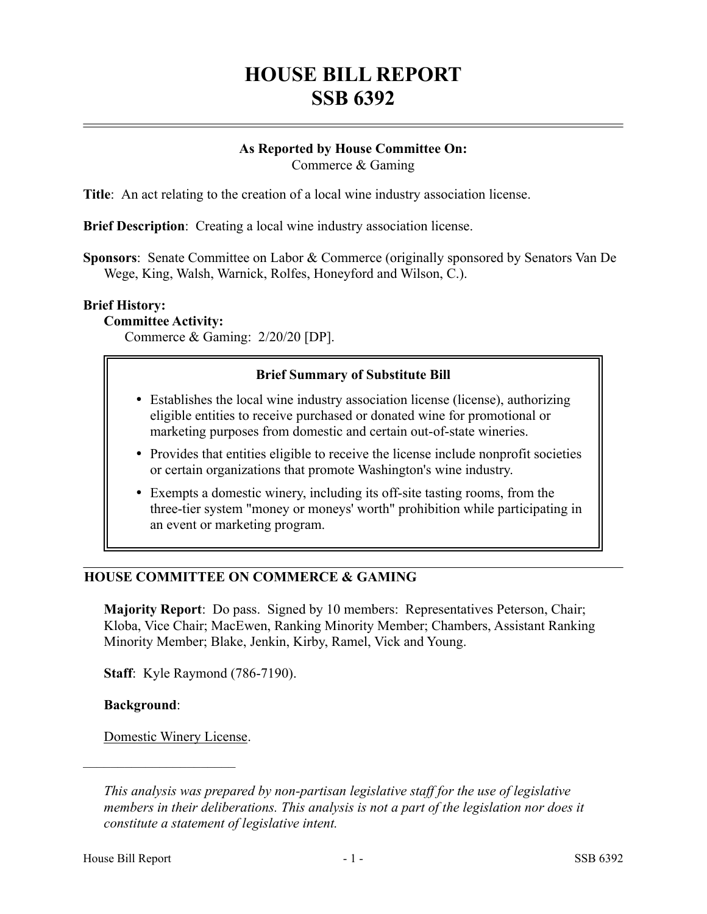# **HOUSE BILL REPORT SSB 6392**

#### **As Reported by House Committee On:** Commerce & Gaming

**Title**: An act relating to the creation of a local wine industry association license.

**Brief Description**: Creating a local wine industry association license.

**Sponsors**: Senate Committee on Labor & Commerce (originally sponsored by Senators Van De Wege, King, Walsh, Warnick, Rolfes, Honeyford and Wilson, C.).

#### **Brief History:**

**Committee Activity:**

Commerce & Gaming: 2/20/20 [DP].

# **Brief Summary of Substitute Bill**

- Establishes the local wine industry association license (license), authorizing eligible entities to receive purchased or donated wine for promotional or marketing purposes from domestic and certain out-of-state wineries.
- Provides that entities eligible to receive the license include nonprofit societies or certain organizations that promote Washington's wine industry.
- Exempts a domestic winery, including its off-site tasting rooms, from the three-tier system "money or moneys' worth" prohibition while participating in an event or marketing program.

#### **HOUSE COMMITTEE ON COMMERCE & GAMING**

**Majority Report**: Do pass. Signed by 10 members: Representatives Peterson, Chair; Kloba, Vice Chair; MacEwen, Ranking Minority Member; Chambers, Assistant Ranking Minority Member; Blake, Jenkin, Kirby, Ramel, Vick and Young.

**Staff**: Kyle Raymond (786-7190).

**Background**:

Domestic Winery License.

––––––––––––––––––––––

*This analysis was prepared by non-partisan legislative staff for the use of legislative members in their deliberations. This analysis is not a part of the legislation nor does it constitute a statement of legislative intent.*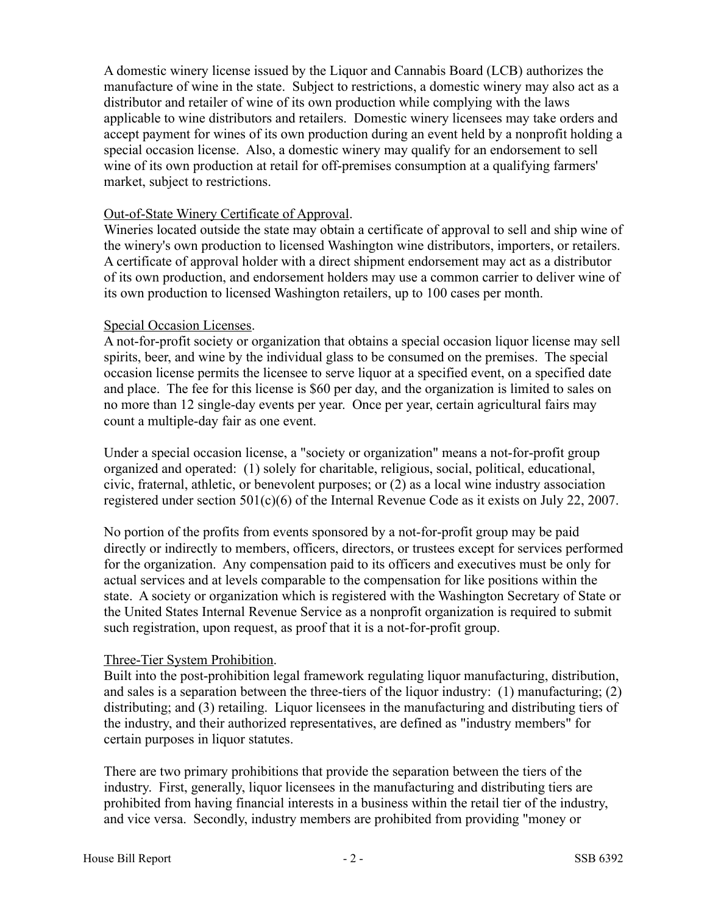A domestic winery license issued by the Liquor and Cannabis Board (LCB) authorizes the manufacture of wine in the state. Subject to restrictions, a domestic winery may also act as a distributor and retailer of wine of its own production while complying with the laws applicable to wine distributors and retailers. Domestic winery licensees may take orders and accept payment for wines of its own production during an event held by a nonprofit holding a special occasion license. Also, a domestic winery may qualify for an endorsement to sell wine of its own production at retail for off-premises consumption at a qualifying farmers' market, subject to restrictions.

#### Out-of-State Winery Certificate of Approval.

Wineries located outside the state may obtain a certificate of approval to sell and ship wine of the winery's own production to licensed Washington wine distributors, importers, or retailers. A certificate of approval holder with a direct shipment endorsement may act as a distributor of its own production, and endorsement holders may use a common carrier to deliver wine of its own production to licensed Washington retailers, up to 100 cases per month.

# Special Occasion Licenses.

A not-for-profit society or organization that obtains a special occasion liquor license may sell spirits, beer, and wine by the individual glass to be consumed on the premises. The special occasion license permits the licensee to serve liquor at a specified event, on a specified date and place. The fee for this license is \$60 per day, and the organization is limited to sales on no more than 12 single-day events per year. Once per year, certain agricultural fairs may count a multiple-day fair as one event.

Under a special occasion license, a "society or organization" means a not-for-profit group organized and operated: (1) solely for charitable, religious, social, political, educational, civic, fraternal, athletic, or benevolent purposes; or (2) as a local wine industry association registered under section 501(c)(6) of the Internal Revenue Code as it exists on July 22, 2007.

No portion of the profits from events sponsored by a not-for-profit group may be paid directly or indirectly to members, officers, directors, or trustees except for services performed for the organization. Any compensation paid to its officers and executives must be only for actual services and at levels comparable to the compensation for like positions within the state. A society or organization which is registered with the Washington Secretary of State or the United States Internal Revenue Service as a nonprofit organization is required to submit such registration, upon request, as proof that it is a not-for-profit group.

# Three-Tier System Prohibition.

Built into the post-prohibition legal framework regulating liquor manufacturing, distribution, and sales is a separation between the three-tiers of the liquor industry: (1) manufacturing; (2) distributing; and (3) retailing. Liquor licensees in the manufacturing and distributing tiers of the industry, and their authorized representatives, are defined as "industry members" for certain purposes in liquor statutes.

There are two primary prohibitions that provide the separation between the tiers of the industry. First, generally, liquor licensees in the manufacturing and distributing tiers are prohibited from having financial interests in a business within the retail tier of the industry, and vice versa. Secondly, industry members are prohibited from providing "money or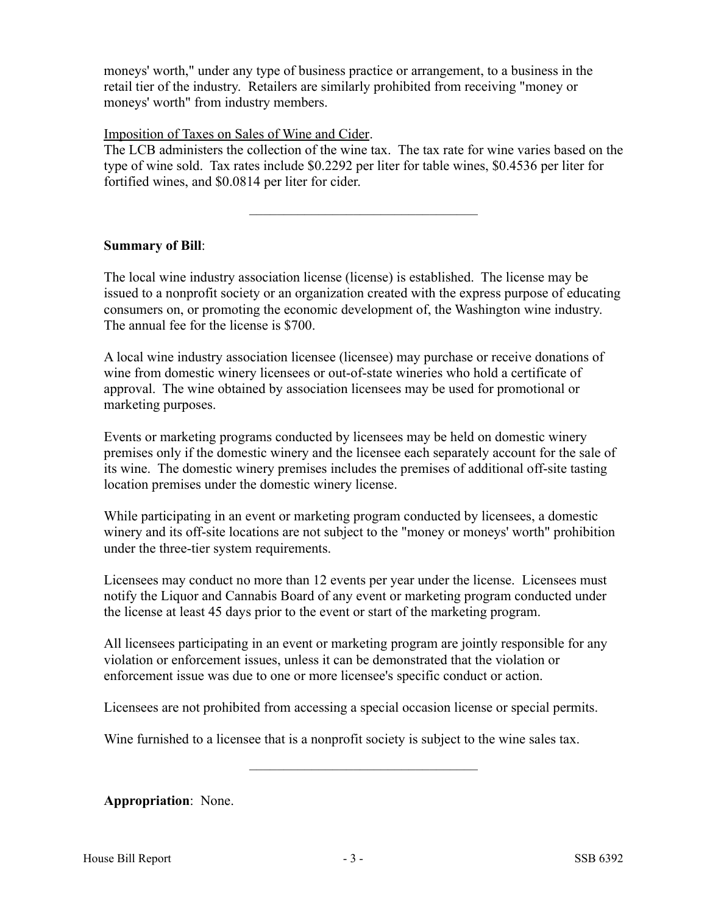moneys' worth," under any type of business practice or arrangement, to a business in the retail tier of the industry. Retailers are similarly prohibited from receiving "money or moneys' worth" from industry members.

Imposition of Taxes on Sales of Wine and Cider.

The LCB administers the collection of the wine tax. The tax rate for wine varies based on the type of wine sold. Tax rates include \$0.2292 per liter for table wines, \$0.4536 per liter for fortified wines, and \$0.0814 per liter for cider.

–––––––––––––––––––––––––––––––––

# **Summary of Bill**:

The local wine industry association license (license) is established. The license may be issued to a nonprofit society or an organization created with the express purpose of educating consumers on, or promoting the economic development of, the Washington wine industry. The annual fee for the license is \$700.

A local wine industry association licensee (licensee) may purchase or receive donations of wine from domestic winery licensees or out-of-state wineries who hold a certificate of approval. The wine obtained by association licensees may be used for promotional or marketing purposes.

Events or marketing programs conducted by licensees may be held on domestic winery premises only if the domestic winery and the licensee each separately account for the sale of its wine. The domestic winery premises includes the premises of additional off-site tasting location premises under the domestic winery license.

While participating in an event or marketing program conducted by licensees, a domestic winery and its off-site locations are not subject to the "money or moneys' worth" prohibition under the three-tier system requirements.

Licensees may conduct no more than 12 events per year under the license. Licensees must notify the Liquor and Cannabis Board of any event or marketing program conducted under the license at least 45 days prior to the event or start of the marketing program.

All licensees participating in an event or marketing program are jointly responsible for any violation or enforcement issues, unless it can be demonstrated that the violation or enforcement issue was due to one or more licensee's specific conduct or action.

Licensees are not prohibited from accessing a special occasion license or special permits.

–––––––––––––––––––––––––––––––––

Wine furnished to a licensee that is a nonprofit society is subject to the wine sales tax.

**Appropriation**: None.